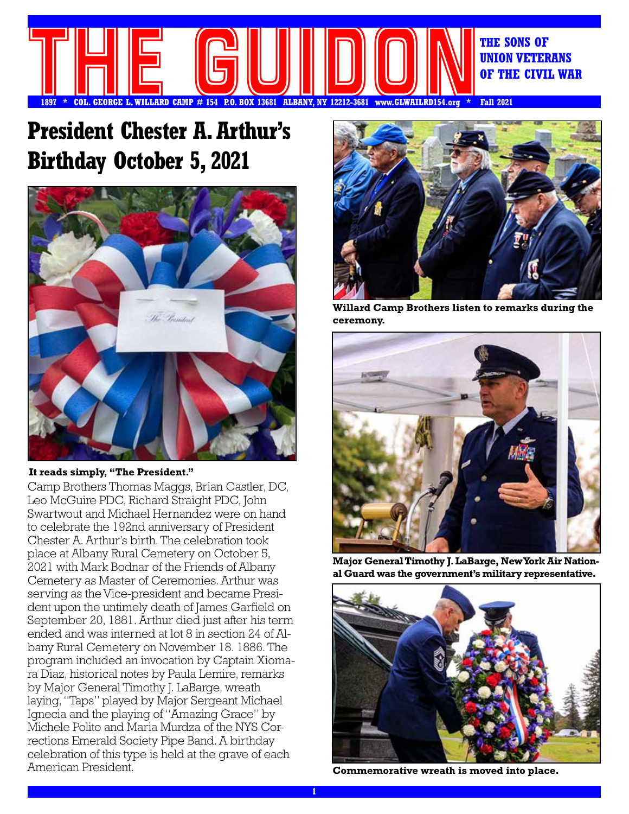

# **President Chester A. Arthur's Birthday October 5, 2021**



#### **It reads simply, "The President."**

Camp Brothers Thomas Maggs, Brian Castler, DC, Leo McGuire PDC, Richard Straight PDC, John Swartwout and Michael Hernandez were on hand to celebrate the 192nd anniversary of President Chester A. Arthur's birth. The celebration took place at Albany Rural Cemetery on October 5, 2021 with Mark Bodnar of the Friends of Albany Cemetery as Master of Ceremonies. Arthur was serving as the Vice-president and became President upon the untimely death of James Garfield on September 20, 1881. Arthur died just after his term ended and was interned at lot 8 in section 24 of Albany Rural Cemetery on November 18. 1886. The program included an invocation by Captain Xiomara Diaz, historical notes by Paula Lemire, remarks by Major General Timothy J. LaBarge, wreath laying, "Taps" played by Major Sergeant Michael Ignecia and the playing of "Amazing Grace" by Michele Polito and Maria Murdza of the NYS Corrections Emerald Society Pipe Band. A birthday celebration of this type is held at the grave of each American President.



**Willard Camp Brothers listen to remarks during the ceremony.**



**Major General Timothy J. LaBarge, New York Air National Guard was the government's military representative.**



**Commemorative wreath is moved into place.**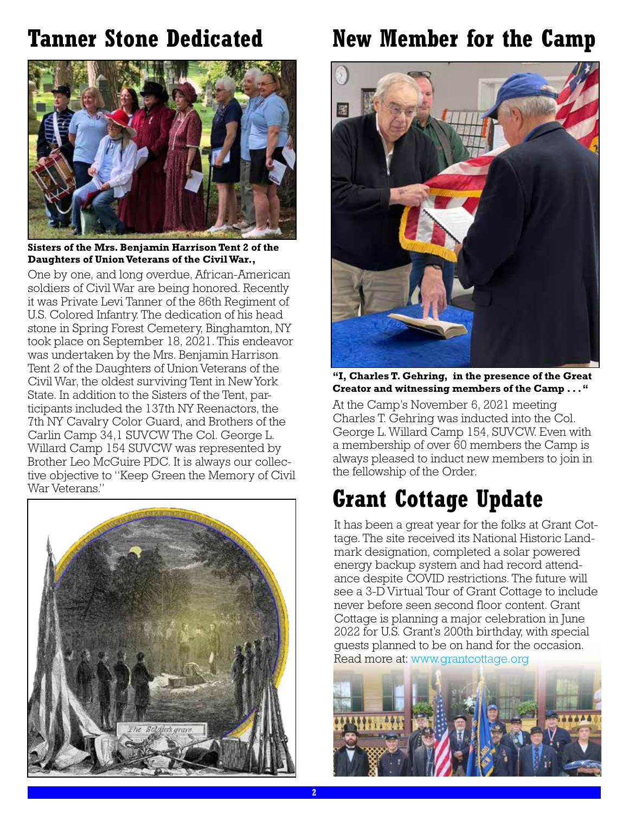# **Tanner Stone Dedicated**



**Sisters of the Mrs. Benjamin Harrison Tent 2 of the Daughters of Union Veterans of the Civil War.,**

One by one, and long overdue, African-American soldiers of Civil War are being honored. Recently it was Private Levi Tanner of the 86th Regiment of U.S. Colored Infantry. The dedication of his head stone in Spring Forest Cemetery, Binghamton, NY took place on September 18, 2021. This endeavor was undertaken by the Mrs. Benjamin Harrison Tent 2 of the Daughters of Union Veterans of the Civil War, the oldest surviving Tent in New York State. In addition to the Sisters of the Tent, participants included the 137th NY Reenactors, the 7th NY Cavalry Color Guard, and Brothers of the Carlin Camp 34,1 SUVCW The Col. George L. Willard Camp 154 SUVCW was represented by Brother Leo McGuire PDC. It is always our collective objective to "Keep Green the Memory of Civil War Veterans."



# **New Member for the Camp**



**"I, Charles T. Gehring, in the presence of the Great Creator and witnessing members of the Camp . . . "**

At the Camp's November 6, 2021 meeting Charles T. Gehring was inducted into the Col. George L. Willard Camp 154, SUVCW. Even with a membership of over 60 members the Camp is always pleased to induct new members to join in the fellowship of the Order.

# **Grant Cottage Update**

It has been a great year for the folks at Grant Cottage. The site received its National Historic Landmark designation, completed a solar powered energy backup system and had record attendance despite COVID restrictions. The future will see a 3-D Virtual Tour of Grant Cottage to include never before seen second floor content. Grant Cottage is planning a major celebration in June 2022 for U.S. Grant's 200th birthday, with special guests planned to be on hand for the occasion. Read more at: www.grantcottage.org

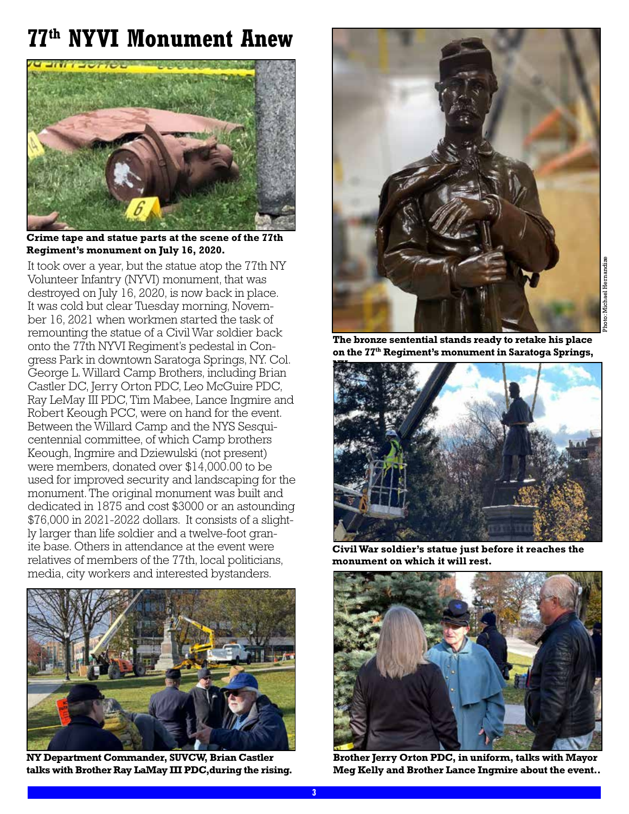# **77th NYVI Monument Anew**



**Crime tape and statue parts at the scene of the 77th Regiment's monument on July 16, 2020.**

It took over a year, but the statue atop the 77th NY Volunteer Infantry (NYVI) monument, that was destroyed on July 16, 2020, is now back in place. It was cold but clear Tuesday morning, November 16, 2021 when workmen started the task of remounting the statue of a Civil War soldier back onto the 77th NYVI Regiment's pedestal in Congress Park in downtown Saratoga Springs, NY. Col. George L. Willard Camp Brothers, including Brian Castler DC, Jerry Orton PDC, Leo McGuire PDC, Ray LeMay III PDC, Tim Mabee, Lance Ingmire and Robert Keough PCC, were on hand for the event. Between the Willard Camp and the NYS Sesquicentennial committee, of which Camp brothers Keough, Ingmire and Dziewulski (not present) were members, donated over \$14,000.00 to be used for improved security and landscaping for the monument. The original monument was built and dedicated in 1875 and cost \$3000 or an astounding \$76,000 in 2021-2022 dollars. It consists of a slightly larger than life soldier and a twelve-foot granite base. Others in attendance at the event were relatives of members of the 77th, local politicians, media, city workers and interested bystanders.



**NY Department Commander, SUVCW, Brian Castler talks with Brother Ray LaMay III PDC,during the rising.**



**The bronze sentential stands ready to retake his place on the 77th Regiment's monument in Saratoga Springs,** 



**Civil War soldier's statue just before it reaches the monument on which it will rest.**



**Brother Jerry Orton PDC, in uniform, talks with Mayor Meg Kelly and Brother Lance Ingmire about the event..**